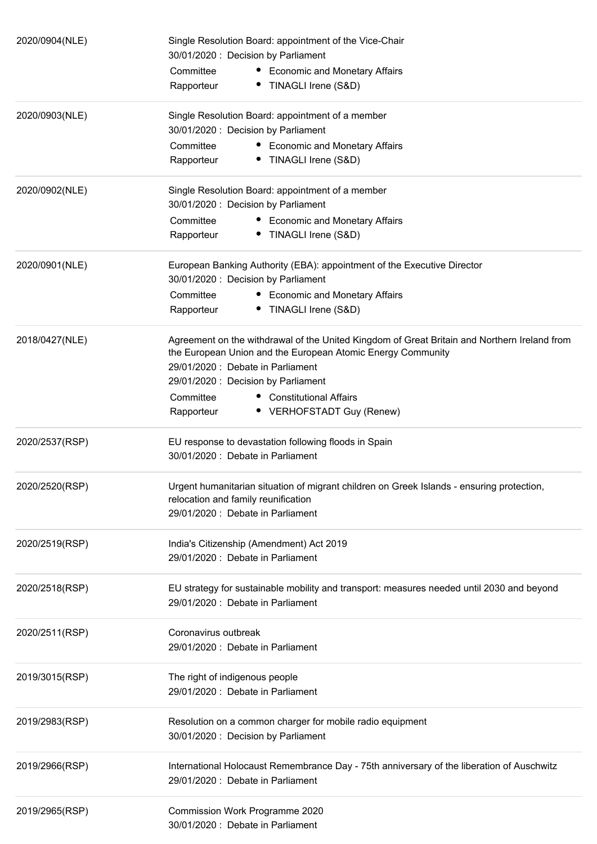| 2020/0904(NLE) | Single Resolution Board: appointment of the Vice-Chair<br>30/01/2020 : Decision by Parliament<br>Committee<br>• Economic and Monetary Affairs<br>• TINAGLI Irene (S&D)<br>Rapporteur                                                                                                                                      |
|----------------|---------------------------------------------------------------------------------------------------------------------------------------------------------------------------------------------------------------------------------------------------------------------------------------------------------------------------|
| 2020/0903(NLE) | Single Resolution Board: appointment of a member<br>30/01/2020: Decision by Parliament<br>Committee<br>• Economic and Monetary Affairs<br>• TINAGLI Irene (S&D)<br>Rapporteur                                                                                                                                             |
| 2020/0902(NLE) | Single Resolution Board: appointment of a member<br>30/01/2020 : Decision by Parliament<br>Committee<br>• Economic and Monetary Affairs<br>• TINAGLI Irene (S&D)<br>Rapporteur                                                                                                                                            |
| 2020/0901(NLE) | European Banking Authority (EBA): appointment of the Executive Director<br>30/01/2020: Decision by Parliament<br>Committee<br>• Economic and Monetary Affairs<br>• TINAGLI Irene (S&D)<br>Rapporteur                                                                                                                      |
| 2018/0427(NLE) | Agreement on the withdrawal of the United Kingdom of Great Britain and Northern Ireland from<br>the European Union and the European Atomic Energy Community<br>29/01/2020: Debate in Parliament<br>29/01/2020: Decision by Parliament<br>Committee<br>• Constitutional Affairs<br>• VERHOFSTADT Guy (Renew)<br>Rapporteur |
| 2020/2537(RSP) | EU response to devastation following floods in Spain<br>30/01/2020: Debate in Parliament                                                                                                                                                                                                                                  |
| 2020/2520(RSP) | Urgent humanitarian situation of migrant children on Greek Islands - ensuring protection,<br>relocation and family reunification<br>29/01/2020: Debate in Parliament                                                                                                                                                      |
| 2020/2519(RSP) | India's Citizenship (Amendment) Act 2019<br>29/01/2020: Debate in Parliament                                                                                                                                                                                                                                              |
| 2020/2518(RSP) | EU strategy for sustainable mobility and transport: measures needed until 2030 and beyond<br>29/01/2020 : Debate in Parliament                                                                                                                                                                                            |
| 2020/2511(RSP) | Coronavirus outbreak<br>29/01/2020 : Debate in Parliament                                                                                                                                                                                                                                                                 |
| 2019/3015(RSP) | The right of indigenous people<br>29/01/2020 : Debate in Parliament                                                                                                                                                                                                                                                       |
| 2019/2983(RSP) | Resolution on a common charger for mobile radio equipment<br>30/01/2020 : Decision by Parliament                                                                                                                                                                                                                          |
| 2019/2966(RSP) | International Holocaust Remembrance Day - 75th anniversary of the liberation of Auschwitz<br>29/01/2020: Debate in Parliament                                                                                                                                                                                             |
| 2019/2965(RSP) | Commission Work Programme 2020<br>30/01/2020 : Debate in Parliament                                                                                                                                                                                                                                                       |